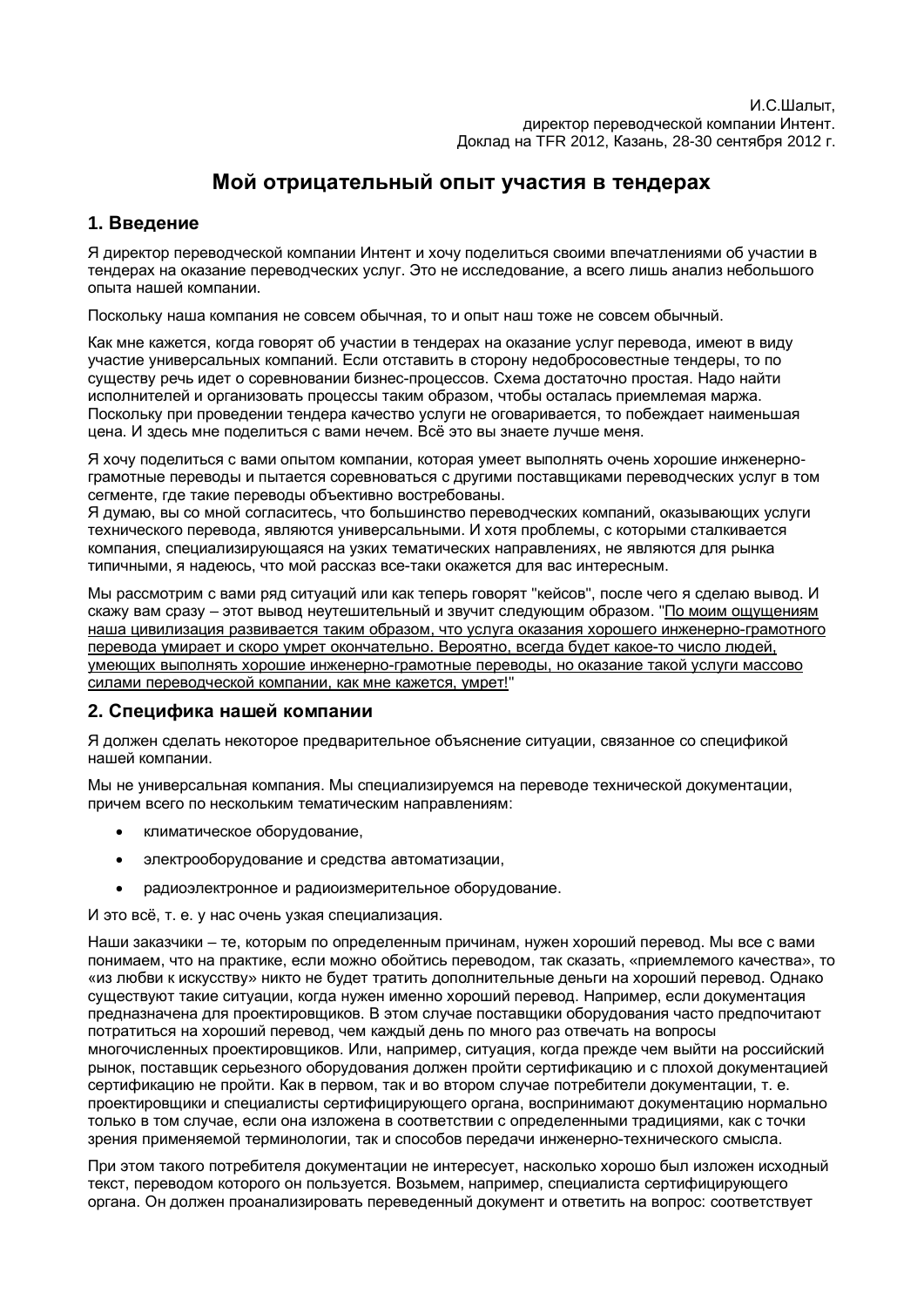# Мой отрицательный опыт участия в тендерах

# **1. Введение**

Я директор переводческой компании Интент и хочу поделиться своими впечатлениями об участии в тендерах на оказание переводческих услуг. Это не исследование, а всего лишь анализ небольшого опыта нашей компании.

Поскольку наша компания не совсем обычная, то и опыт наш тоже не совсем обычный.

Как мне кажется, когда говорят об участии в тендерах на оказание услуг перевода, имеют в виду участие универсальных компаний. Если отставить в сторону недобросовестные тендеры, то по существу речь идет о соревновании бизнес-процессов. Схема достаточно простая. Надо найти исполнителей и организовать процессы таким образом, чтобы осталась приемлемая маржа. Поскольку при проведении тендера качество услуги не оговаривается, то побеждает наименьшая цена. И здесь мне поделиться с вами нечем. Всё это вы знаете лучше меня.

Я хочу поделиться с вами опытом компании, которая умеет выполнять очень хорошие инженернограмотные переводы и пытается соревноваться с другими поставщиками переводческих услуг в том сегменте, где такие переводы объективно востребованы.

Я думаю, вы со мной согласитесь, что большинство переводческих компаний, оказывающих услуги технического перевода, являются универсальными. И хотя проблемы, с которыми сталкивается компания, специализирующаяся на узких тематических направлениях, не являются для рынка типичными, я надеюсь, что мой рассказ все-таки окажется для вас интересным.

Мы рассмотрим с вами ряд ситуаций или как теперь говорят "кейсов", после чего я сделаю вывод. И скажу вам сразу – этот вывод неутешительный и звучит следующим образом. "По моим ощущениям наша цивилизация развивается таким образом, что услуга оказания хорошего инженерно-грамотного перевода умирает и скоро умрет окончательно. Вероятно, всегда будет какое-то число людей, VМЕЮЩИХ ВЫПОЛНЯТЬ ХОРОШИЕ ИНЖЕНЕРНО-ГРАМОТНЫЕ ПЕРЕВОДЫ, НО ОКАЗАНИЕ ТАКОЙ УСЛУГИ МАССОВО силами переводческой компании, как мне кажется, умрет!"

# 2. Специфика нашей компании

Я должен сделать некоторое предварительное объяснение ситуации, связанное со спецификой нашей компании.

Мы не универсальная компания. Мы специализируемся на переводе технической документации, причем всего по нескольким тематическим направлениям:

- климатическое оборудование.
- электрооборудование и средства автоматизации.
- радиоэлектронное и радиоизмерительное оборудование.

И это всё, т. е. у нас очень узкая специализация.

Наши заказчики – те, которым по определенным причинам, нужен хороший перевод. Мы все с вами понимаем, что на практике, если можно обойтись переводом, так сказать, «приемлемого качества», то «из любви к искусству» никто не будет тратить дополнительные деньги на хороший перевод. Однако существуют такие ситуации, когда нужен именно хороший перевод. Например, если документация предназначена для проектировщиков. В этом случае поставщики оборудования часто предпочитают потратиться на хороший перевод, чем каждый день по много раз отвечать на вопросы многочисленных проектировщиков. Или, например, ситуация, когда прежде чем выйти на российский рынок, поставщик серьезного оборудования должен пройти сертификацию и с плохой документацией сертификацию не пройти. Как в первом, так и во втором случае потребители документации, т. е. проектировщики и специалисты сертифицирующего органа, воспринимают документацию нормально только в том случае, если она изложена в соответствии с определенными традициями, как с точки зрения применяемой терминологии, так и способов передачи инженерно-технического смысла.

При этом такого потребителя документации не интересует, насколько хорошо был изложен исходный текст, переводом которого он пользуется. Возьмем, например, специалиста сертифицирующего органа. Он должен проанализировать переведенный документ и ответить на вопрос: соответствует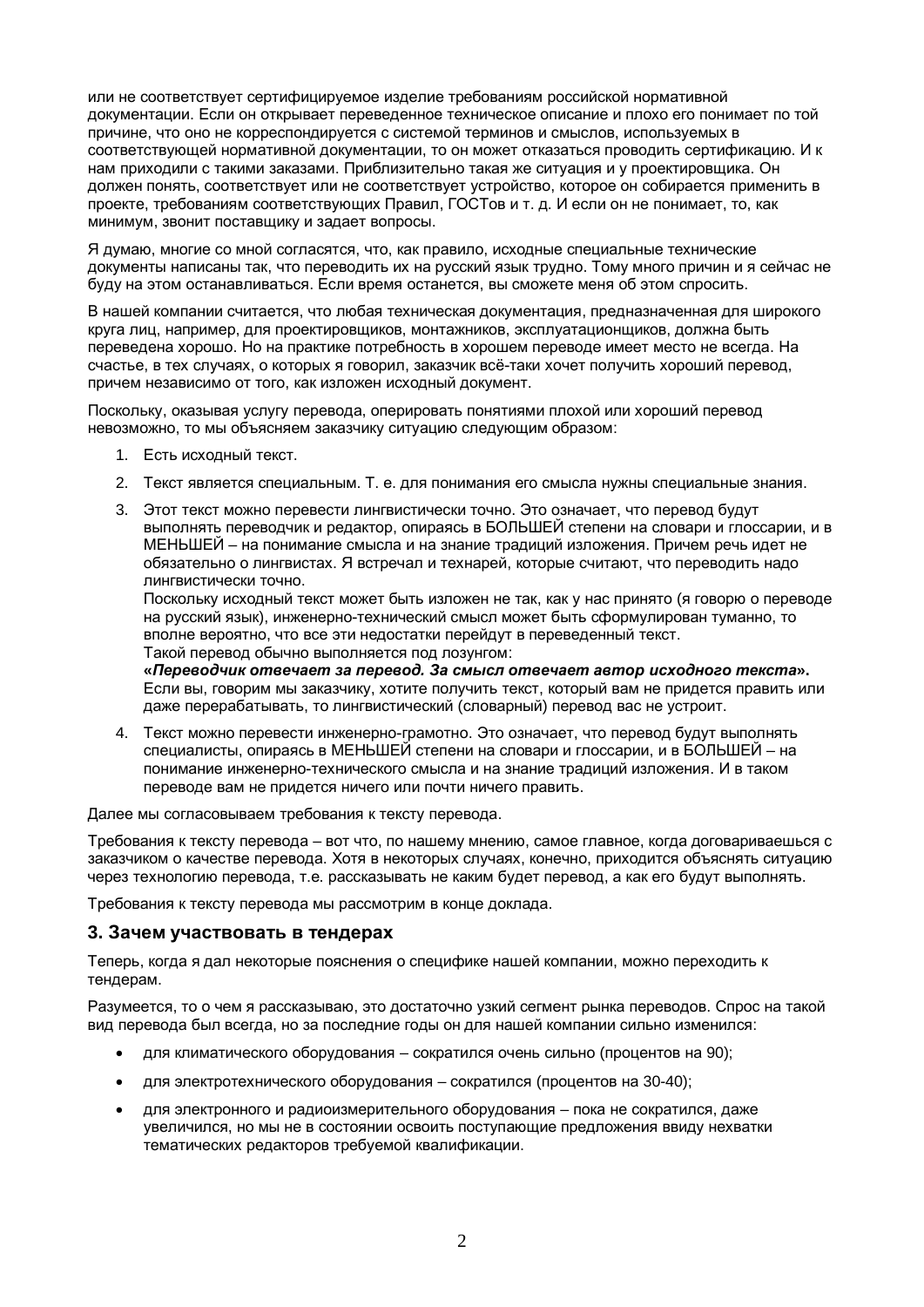или не соответствует сертифицируемое изделие требованиям российской нормативной документации. Если он открывает переведенное техническое описание и плохо его понимает по той причине, что оно не корреспондируется с системой терминов и смыслов, используемых в соответствующей нормативной документации, то он может отказаться проводить сертификацию. И к нам приходили с такими заказами. Приблизительно такая же ситуация и у проектировщика. Он должен понять, соответствует или не соответствует устройство, которое он собирается применить в проекте, требованиям соответствующих Правил, ГОСТов и т. д. И если он не понимает, то, как минимум, звонит поставщику и задает вопросы.

Я думаю, многие со мной согласятся, что, как правило, исходные специальные технические документы написаны так, что переводить их на русский язык трудно. Тому много причин и я сейчас не буду на этом останавливаться. Если время останется, вы сможете меня об этом спросить.

В нашей компании считается, что любая техническая документация, предназначенная для широкого круга лиц, например, для проектировщиков, монтажников, эксплуатационщиков, должна быть переведена хорошо. Но на практике потребность в хорошем переводе имеет место не всегда. На счастье, в тех случаях, о которых я говорил, заказчик всё-таки хочет получить хороший перевод, причем независимо от того, как изложен исходный документ.

Поскольку, оказывая услугу перевода, оперировать понятиями плохой или хороший перевод невозможно, то мы объясняем заказчику ситуацию следующим образом:

- 1. Есть исходный текст.
- 2. Текст является специальным. Т. е. для понимания его смысла нужны специальные знания.
- 3. Этот текст можно перевести лингвистически точно. Это означает, что перевод будут выполнять переводчик и редактор, опираясь в БОЛЬШЕЙ степени на словари и глоссарии, и в МЕНЬШЕЙ – на понимание смысла и на знание традиций изложения. Причем речь идет не обязательно о лингвистах. Я встречал и технарей, которые считают, что переводить надо лингвистически точно.

Поскольку исходный текст может быть изложен не так, как у нас принято (я говорю о переводе на русский язык), инженерно-технический смысл может быть сформулирован туманно, то вполне вероятно, что все эти недостатки перейдут в переведенный текст. Такой перевод обычно выполняется под лозунгом:

«Переводчик отвечает за перевод. За смысл отвечает автор исходного текста». Если вы, говорим мы заказчику, хотите получить текст, который вам не придется править или даже перерабатывать, то лингвистический (словарный) перевод вас не устроит.

4. Текст можно перевести инженерно-грамотно. Это означает, что перевод будут выполнять специалисты, опираясь в МЕНЬШЕЙ степени на словари и глоссарии, и в БОЛЬШЕЙ – на понимание инженерно-технического смысла и на знание традиций изложения. И в таком переводе вам не придется ничего или почти ничего править.

Далее мы согласовываем требования к тексту перевода.

Требования к тексту перевода – вот что, по нашему мнению, самое главное, когда договариваешься с заказчиком о качестве перевода. Хотя в некоторых случаях, конечно, приходится объяснять ситуацию через технологию перевода, т.е. рассказывать не каким будет перевод, а как его будут выполнять.

Требования к тексту перевода мы рассмотрим в конце доклада.

### **3. Зачем участвовать в тендерах**

Теперь, когда я дал некоторые пояснения о специфике нашей компании, можно переходить к тендерам.

Разумеется, то о чем я рассказываю, это достаточно узкий сегмент рынка переводов. Спрос на такой вид перевода был всегда, но за последние годы он для нашей компании сильно изменился:

- $\bullet$  для климатического оборудования сократился очень сильно (процентов на 90);
- для электротехнического оборудования сократился (процентов на 30-40);
- для электронного и радиоизмерительного оборудования пока не сократился, даже үвеличился, но мы не в состоянии освоить поступающие предложения ввиду нехватки тематических редакторов требуемой квалификации.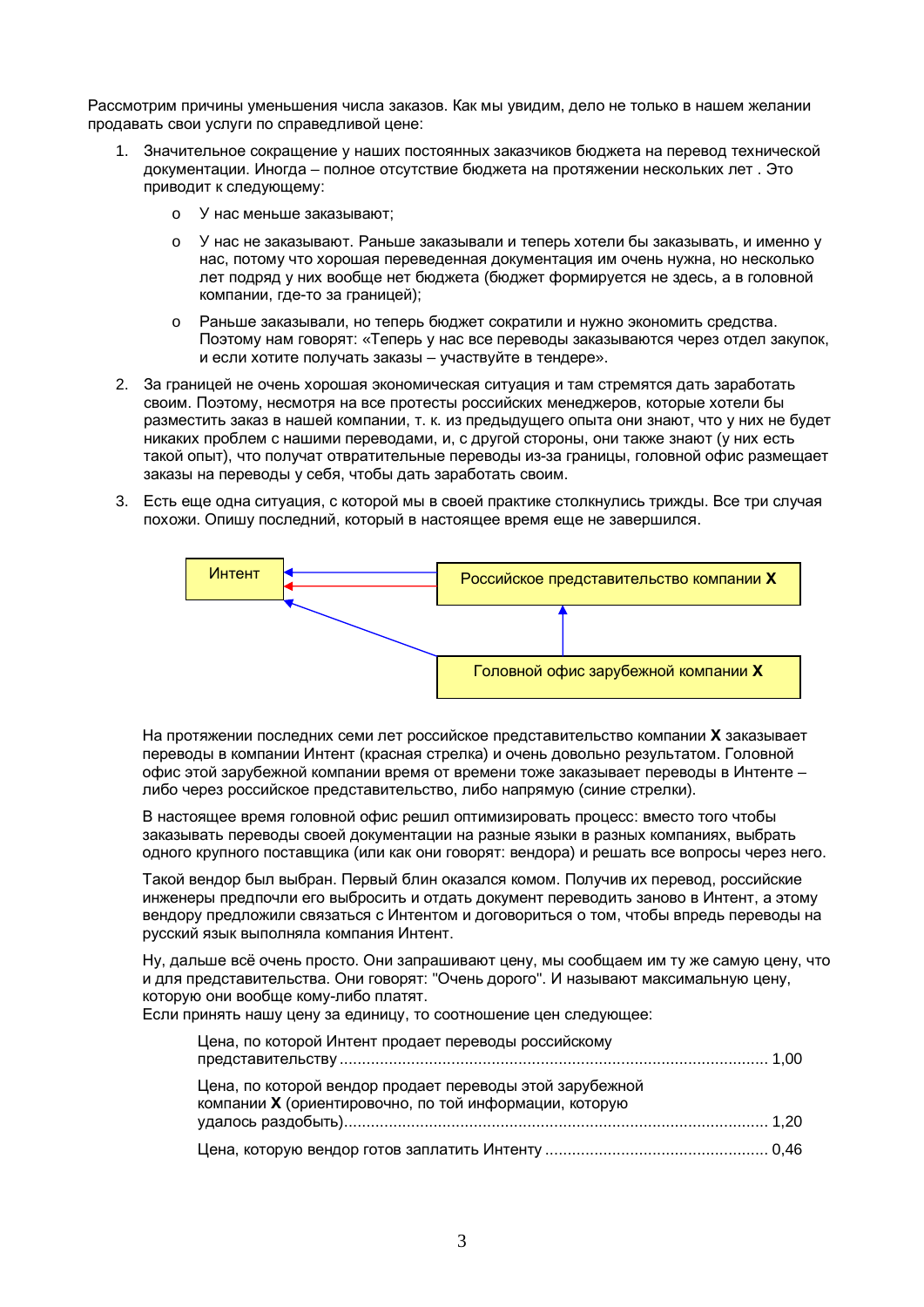Рассмотрим причины уменьшения числа заказов. Как мы увидим, дело не только в нашем желании продавать свои услуги по справедливой цене:

- 1. Значительное сокрашение у наших постоянных заказчиков бюджета на перевод технической документации. Иногда – полное отсутствие бюджета на протяжении нескольких лет. Это приводит к следующему:
	- o У нас меньше заказывают:
	- ⊙ У нас не заказывают. Раньше заказывали и теперь хотели бы заказывать, и именно у нас, потому что хорошая переведенная документация им очень нужна, но несколько лет подряд у них вообще нет бюджета (бюджет формируется не здесь, а в головной компании, где-то за границей);
	- Раньше заказывали, но теперь бюджет сократили и нужно экономить средства. Поэтому нам говорят: «Теперь у нас все переводы заказываются через отдел закупок. и если хотите получать заказы – участвуйте в тендере».
- 2. За границей не очень хорошая экономическая ситуация и там стремятся дать заработать своим. Поэтому, несмотря на все протесты российских менеджеров, которые хотели бы разместить заказ в нашей компании, т. к. из предыдущего опыта они знают, что у них не будет никаких проблем с нашими переводами, и, с другой стороны, они также знают (у них есть такой опыт), что получат отвратительные переводы из-за границы, головной офис размещает заказы на переводы у себя, чтобы дать заработать своим.
- 3. Есть еще одна ситуация, с которой мы в своей практике столкнулись трижды. Все три случая похожи. Опишу последний, который в настоящее время еще не завершился.



На протяжении последних семи лет российское представительство компании **X** заказывает переводы в компании Интент (красная стрелка) и очень довольно результатом. Головной офис этой зарубежной компании время от времени тоже заказывает переводы в Интенте – либо через российское представительство, либо напрямую (синие стрелки).

В настоящее время головной офис решил оптимизировать процесс: вместо того чтобы заказывать переводы своей документации на разные языки в разных компаниях, выбрать одного крупного поставщика (или как они говорят: вендора) и решать все вопросы через него.

Такой вендор был выбран. Первый блин оказался комом. Получив их перевод, российские инженеры предпочли его выбросить и отдать документ переводить заново в Интент, а этому вендору предложили связаться с Интентом и договориться о том, чтобы впредь переводы на русский язык выполняла компания Интент.

Ну, дальше всё очень просто. Они запрашивают цену, мы сообщаем им ту же самую цену, что и для представительства. Они говорят: "Очень дорого". И называют максимальную цену. которую они вообще кому-либо платят. Если принять нашу цену за единицу, то соотношение цен следующее:

| Цена, по которой Интент продает переводы российскому                                                               |  |
|--------------------------------------------------------------------------------------------------------------------|--|
| Цена, по которой вендор продает переводы этой зарубежной<br>компании Х (ориентировочно, по той информации, которую |  |
|                                                                                                                    |  |
|                                                                                                                    |  |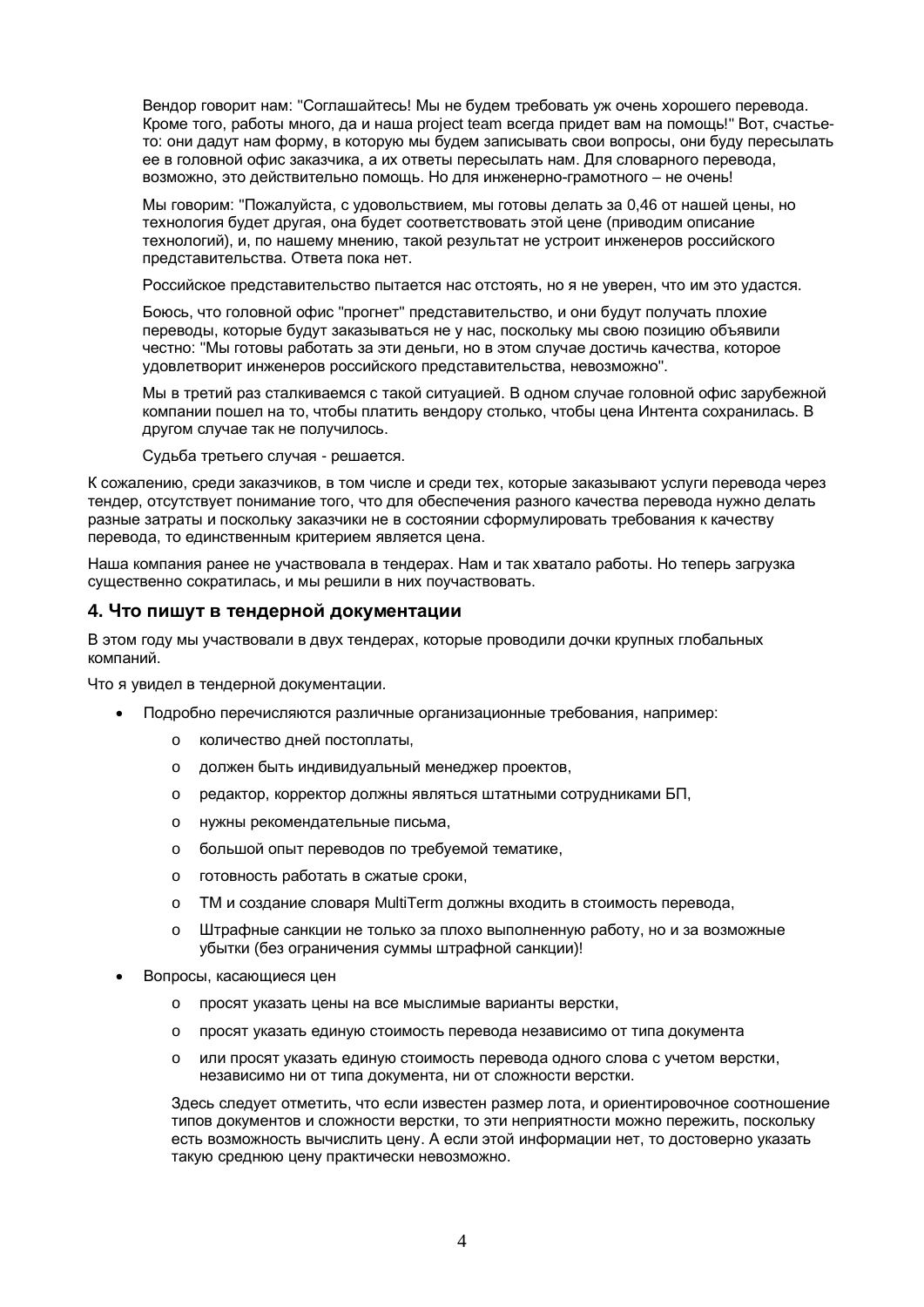Вендор говорит нам: "Соглашайтесь! Мы не будем требовать уж очень хорошего перевода. Кроме того, работы много, да и наша project team всегда придет вам на помощь!" Вот, счастьето: они дадут нам форму, в которую мы будем записывать свои вопросы, они буду пересылать ее в головной офис заказчика, а их ответы пересылать нам. Для словарного перевода, возможно, это действительно помощь. Но для инженерно-грамотного – не очень!

Мы говорим: "Пожалуйста, с удовольствием, мы готовы делать за 0,46 от нашей цены, но технология будет другая, она будет соответствовать этой цене (приводим описание технологий), и, по нашему мнению, такой результат не устроит инженеров российского представительства. Ответа пока нет.

Российское представительство пытается нас отстоять, но я не уверен, что им это удастся.

Боюсь, что головной офис "прогнет" представительство, и они будут получать плохие переводы, которые будут заказываться не у нас, поскольку мы свою позицию объявили честно: "Мы готовы работать за эти деньги, но в этом случае достичь качества, которое удовлетворит инженеров российского представительства, невозможно".

Мы в третий раз сталкиваемся с такой ситуацией. В одном случае головной офис зарубежной компании пошел на то, чтобы платить вендору столько, чтобы цена Интента сохранилась. В другом случае так не получилось.

Судьба третьего случая - решается.

К сожалению, среди заказчиков, в том числе и среди тех, которые заказывают услуги перевода через тендер, отсутствует понимание того, что для обеспечения разного качества перевода нужно делать разные затраты и поскольку заказчики не в состоянии сформулировать требования к качеству перевода, то единственным критерием является цена.

Наша компания ранее не участвовала в тендерах. Нам и так хватало работы. Но теперь загрузка существенно сократилась, и мы решили в них поучаствовать.

### 4. Что пишут в тендерной документации

В этом году мы участвовали в двух тендерах, которые проводили дочки крупных глобальных компаний

Что я увидел в тендерной документации.

- Подробно перечисляются различные организационные требования, например:
	- o количество дней постоплаты.
	- o должен быть индивидуальный менеджер проектов,
	- o редактор, корректор должны являться штатными сотрудниками БП,
	- o нужны рекомендательные письма,
	- $\circ$  большой опыт переводов по требуемой тематике,
	- $\circ$  готовность работать в сжатые сроки.
	- o ТМ и создание словаря MultiTerm должны входить в стоимость перевода,
	- $\circ$  Штрафные санкции не только за плохо выполненную работу, но и за возможные убытки (без ограничения суммы штрафной санкции)!
- Вопросы, касающиеся цен
	- о просят указать цены на все мыслимые варианты верстки,
	- о просят указать единую стоимость перевода независимо от типа документа
	- $\circ$  или просят указать единую стоимость перевода одного слова с учетом верстки, независимо ни от типа документа, ни от сложности верстки.

Здесь следует отметить, что если известен размер лота, и ориентировочное соотношение типов документов и сложности верстки, то эти неприятности можно пережить, поскольку есть возможность вычислить цену. А если этой информации нет, то достоверно указать такую среднюю цену практически невозможно.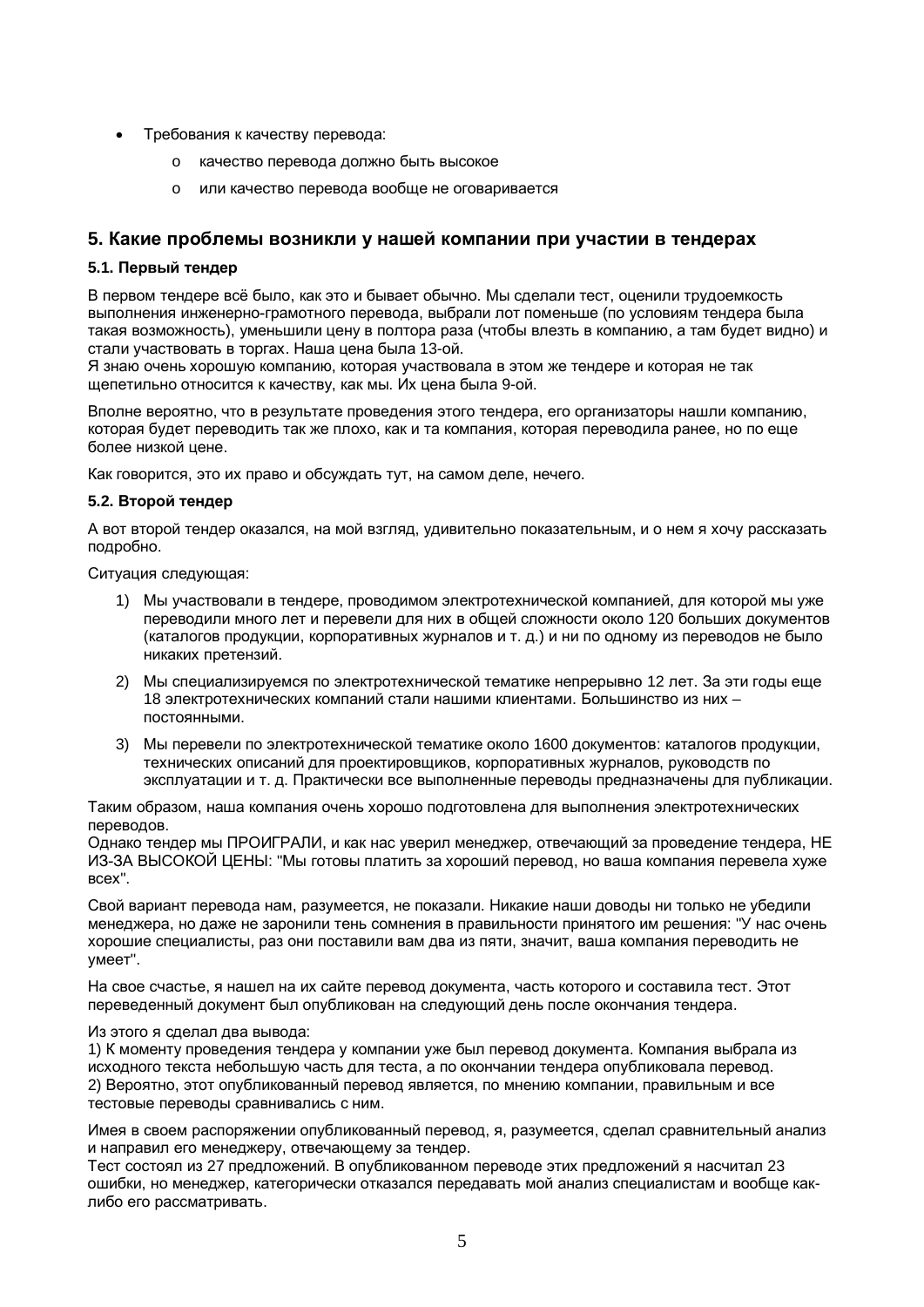- Требования к качеству перевода:
	- качество перевода должно быть высокое
	- o или качество перевода вообще не оговаривается

### 5. Какие проблемы возникли у нашей компании при участии в тендерах

#### **5.1. Первый тендер**

В первом тендере всё было, как это и бывает обычно. Мы сделали тест, оценили трудоемкость выполнения инженерно-грамотного перевода, выбрали лот поменьше (по условиям тендера была такая возможность), уменьшили цену в полтора раза (чтобы влезть в компанию, а там будет видно) и стали участвовать в торгах. Наша цена была 13-ой.

Я знаю очень хорошую компанию, которая участвовала в этом же тендере и которая не так щепетильно относится к качеству, как мы. Их цена была 9-ой,

Вполне вероятно, что в результате проведения этого тендера, его организаторы нашли компанию, которая будет переводить так же плохо, как и та компания, которая переводила ранее, но по еще более низкой цене.

Как говорится, это их право и обсуждать тут, на самом деле, нечего.

#### **5.2. Второй тендер**

А вот второй тендер оказался, на мой взгляд, удивительно показательным, и о нем я хочу рассказать подробно.

Ситуация следующая:

- 1) Мы участвовали в тендере, проводимом электротехнической компанией, для которой мы уже переводили много лет и перевели для них в общей сложности около 120 больших документов (каталогов продукции, корпоративных журналов и т. д.) и ни по одному из переводов не было никаких претензий.
- 2) Мы специализируемся по электротехнической тематике непрерывно 12 лет. За эти годы еще 18 электротехнических компаний стали нашими клиентами. Большинство из них – постоянными.
- 3) Мы перевели по электротехнической тематике около 1600 документов: каталогов продукции, технических описаний для проектировшиков, корпоративных журналов, руководств по эксплуатации и т. д. Практически все выполненные переводы предназначены для публикации.

Таким образом, наша компания очень хорошо подготовлена для выполнения электротехнических переводов.

Однако тендер мы ПРОИГРАЛИ, и как нас уверил менеджер, отвечающий за проведение тендера, НЕ ИЗ-ЗА ВЫСОКОЙ ЦЕНЫ: "Мы готовы платить за хороший перевод, но ваша компания перевела хуже BCex".

Свой вариант перевода нам, разумеется, не показали. Никакие наши доводы ни только не убедили менеджера, но даже не заронили тень сомнения в правильности принятого им решения: "У нас очень хорошие специалисты, раз они поставили вам два из пяти, значит, ваша компания переводить не умеет".

На свое счастье, я нашел на их сайте перевод документа, часть которого и составила тест. Этот переведенный документ был опубликован на следующий день после окончания тендера.

#### Из этого я сделал два вывода:

1) К моменту проведения тендера у компании уже был перевод документа. Компания выбрала из исходного текста небольшую часть для теста, а по окончании тендера опубликовала перевод. 2) Вероятно, этот опубликованный перевод является, по мнению компании, правильным и все тестовые переводы сравнивались с ним.

Имея в своем распоряжении опубликованный перевод, я, разумеется, сделал сравнительный анализ и направил его менеджеру, отвечающему за тендер.

Тест состоял из 27 предложений. В опубликованном переводе этих предложений я насчитал 23 ошибки, но менеджер, категорически отказался передавать мой анализ специалистам и вообще каклибо его рассматривать.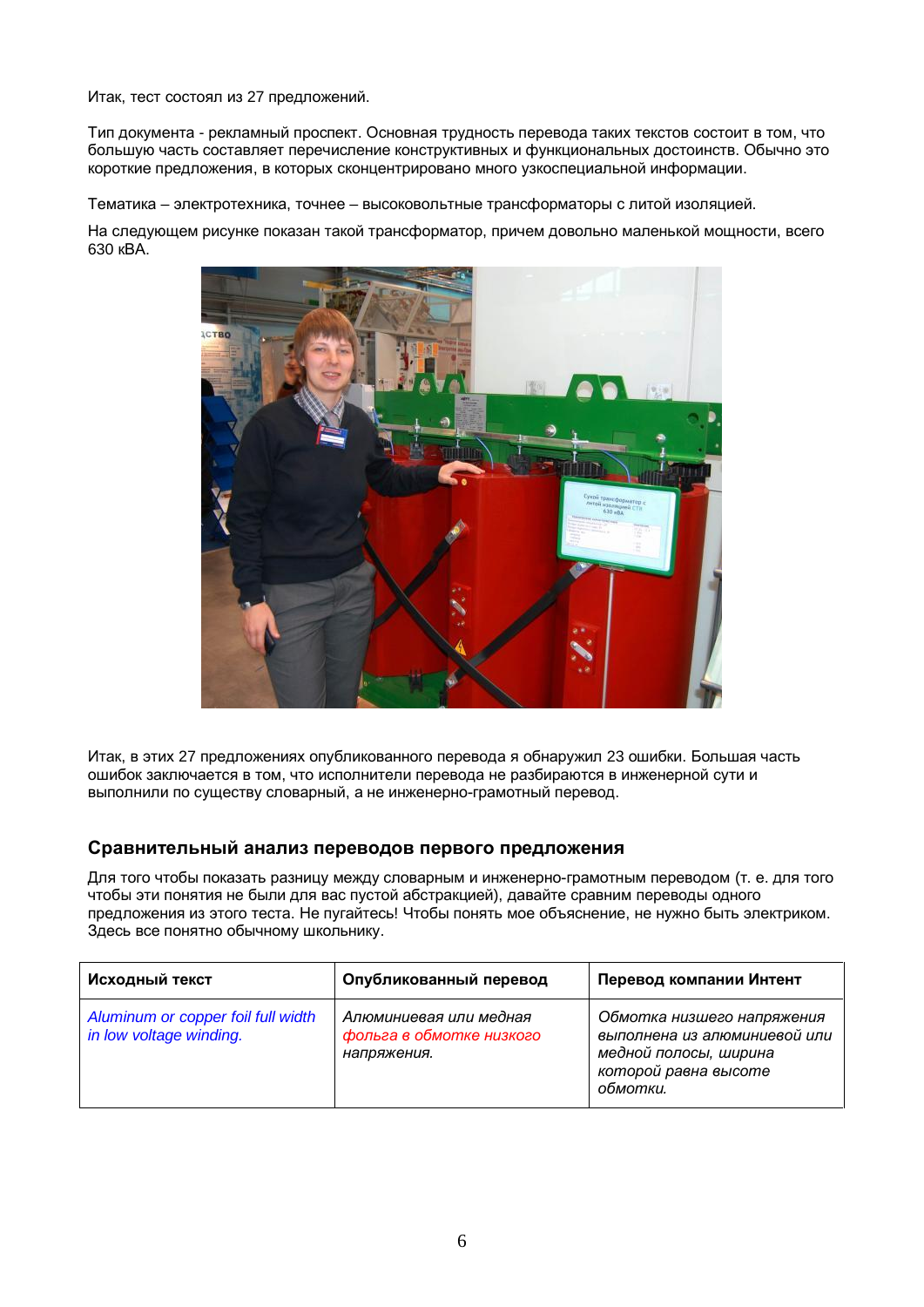Итак, тест состоял из 27 предложений.

Тип документа - рекламный проспект. Основная трудность перевода таких текстов состоит в том, что большую часть составляет перечисление конструктивных и функциональных достоинств. Обычно это короткие предложения, в которых сконцентрировано много узкоспециальной информации.

Тематика – электротехника, точнее – высоковольтные трансформаторы с литой изоляцией.

На следующем рисунке показан такой трансформатор, причем довольно маленькой мощности, всего 630 KBA.



Итак, в этих 27 предложениях опубликованного перевода я обнаружил 23 ошибки. Большая часть ошибок заключается в том. что исполнители перевода не разбираются в инженерной сути и выполнили по сушеству словарный, а не инженерно-грамотный перевод.

### Сравнительный анализ переводов первого предложения

Для того чтобы показать разницу между словарным и инженерно-грамотным переводом (т. е. для того чтобы эти понятия не были для вас пустой абстракцией), давайте сравним переводы одного предложения из этого теста. Не пугайтесь! Чтобы понять мое объяснение, не нужно быть электриком, Здесь все понятно обычному школьнику.

| Исходный текст                                                | Опубликованный перевод                                            | Перевод компании Интент                                                                                                 |
|---------------------------------------------------------------|-------------------------------------------------------------------|-------------------------------------------------------------------------------------------------------------------------|
| Aluminum or copper foil full width<br>in low voltage winding. | Алюминиевая или медная<br>фольга в обмотке низкого<br>напряжения. | Обмотка низшего напряжения<br>выполнена из алюминиевой или<br>медной полосы, ширина<br>которой равна высоте<br>обмотки. |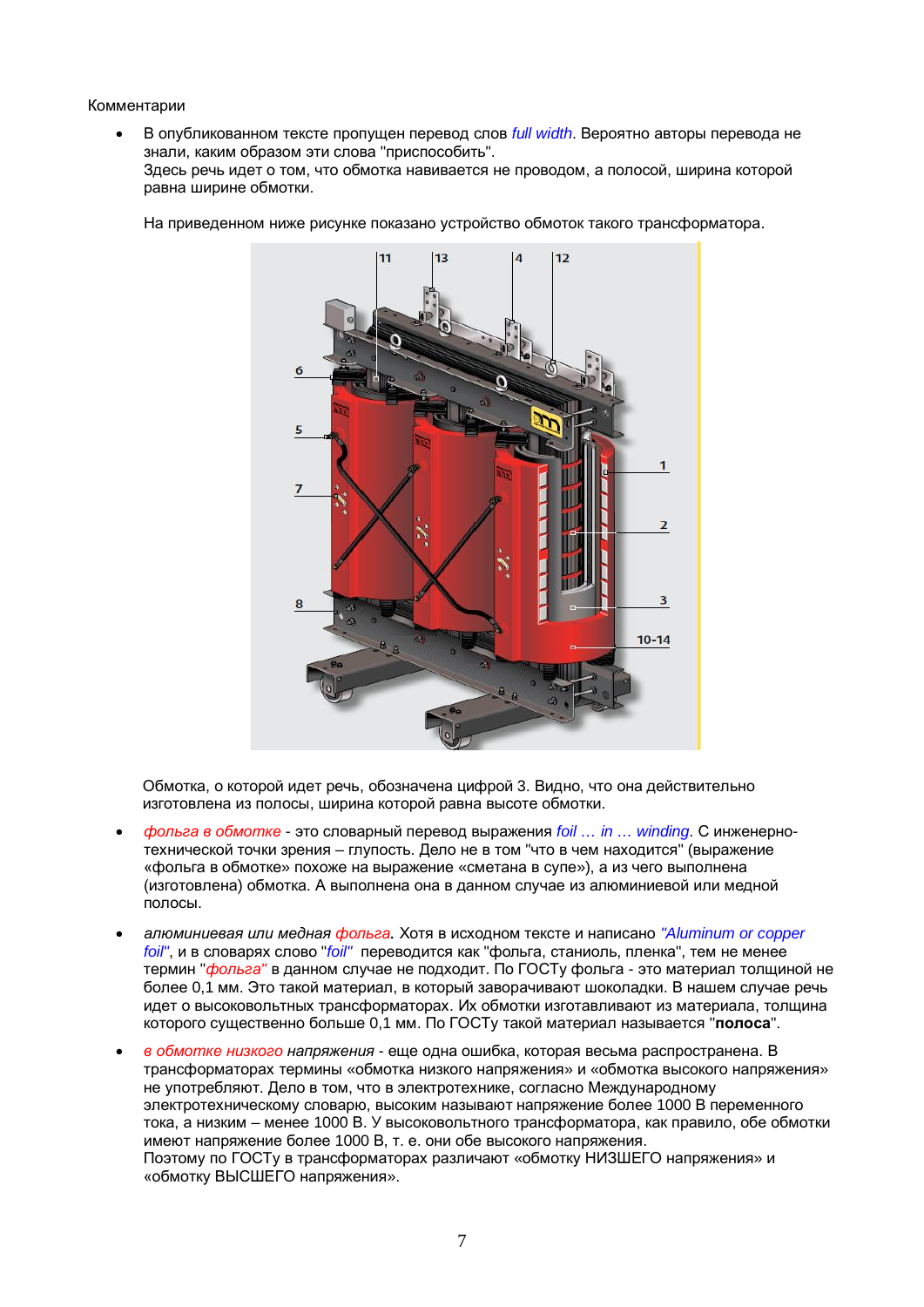#### Комментарии

В опубликованном тексте пропущен перевод слов *full width*. Вероятно авторы перевода не знали, каким образом эти слова "приспособить". Здесь речь идет о том, что обмотка навивается не проводом, а полосой, ширина которой равна ширине обмотки.



На приведенном ниже рисунке показано устройство обмоток такого трансформатора.

Обмотка, о которой идет речь, обозначена цифрой 3. Видно, что она действительно изготовлена из полосы, ширина которой равна высоте обмотки.

- *фольга в обмотке* это словарный перевод выражения *foil ... in ... winding*. С инженернотехнической точки зрения – глупость. Дело не в том "что в чем находится" (выражение «фольга в обмотке» похоже на выражение «сметана в супе»), а из чего выполнена (изготовлена) обмотка. А выполнена она в данном случае из алюминиевой или медной полосы.
- ◆ *aпюминиевая или медная фольза.* Хотя в исходном тексте и написано "Aluminum or copper *foil"*, и в словарях слово "*foil"* переводится как "фольга, станиоль, пленка", тем не менее термин "фольга" в данном случае не подходит. По ГОСТу фольга - это материал толщиной не более 0,1 мм. Это такой материал, в который заворачивают шоколадки. В нашем случае речь идет о высоковольтных трансформаторах. Их обмотки изготавливают из материала, толщина которого существенно больше 0,1 мм. По ГОСТу такой материал называется "полоса".
- $s$  *обмотке низкого напряжения еще одна ошибка*, которая весьма распространена. В трансформаторах термины «обмотка низкого напряжения» и «обмотка высокого напряжения» не употребляют. Дело в том, что в электротехнике, согласно Международному электротехническому словарю, высоким называют напряжение более 1000 В переменного тока, а низким – менее 1000 В. У высоковольтного трансформатора, как правило, обе обмотки имеют напряжение более 1000 В, т. е. они обе высокого напряжения. Поэтому по ГОСТу в трансформаторах различают «обмотку НИЗШЕГО напряжения» и «обмотку ВЫСШЕГО напряжения».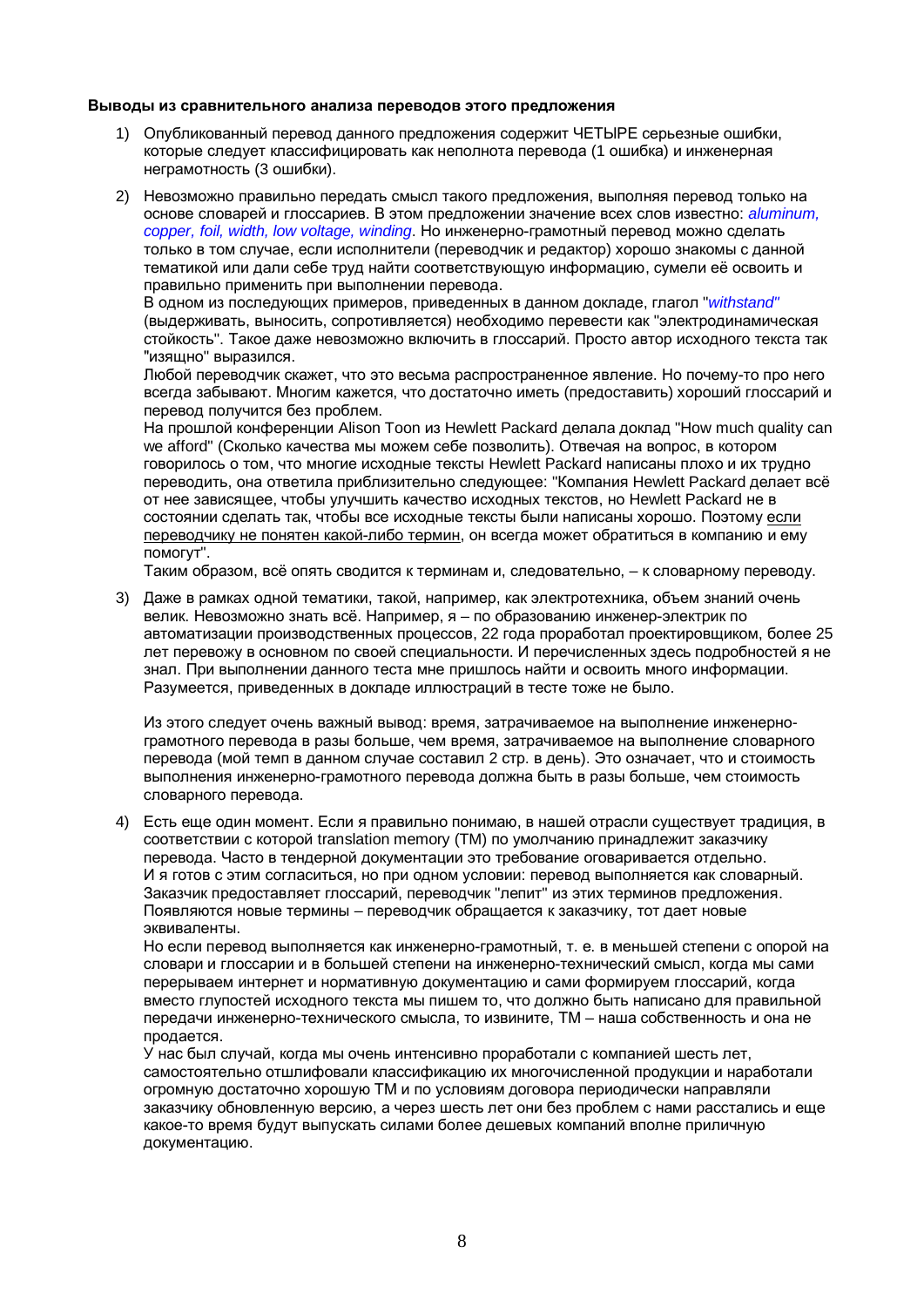#### Выводы из сравнительного анализа переводов этого предложения

- 1) Опубликованный перевод данного предложения содержит ЧЕТЫРЕ серьезные ошибки, которые следует классифицировать как неполнота перевода (1 ошибка) и инженерная неграмотность (3 ошибки).
- 2) Невозможно правильно передать смысл такого предложения, выполняя перевод только на основе словарей и глоссариев. В этом предложении значение всех слов известно: *aluminum*, *copper, foil, width, low voltage, winding*. Но инженерно-грамотный перевод можно сделать только в том случае, если исполнители (переводчик и редактор) хорошо знакомы с данной тематикой или дали себе труд найти соответствующую информацию, сумели её освоить и правильно применить при выполнении перевода.

В одном из последующих примеров, приведенных в данном докладе, глагол "withstand" (выдерживать, выносить, сопротивляется) необходимо перевести как "электродинамическая стойкость". Такое даже невозможно включить в глоссарий. Просто автор исходного текста так "изящно" выразился.

Любой переводчик скажет, что это весьма распространенное явление. Но почему-то про него всегда забывают. Многим кажется, что достаточно иметь (предоставить) хороший глоссарий и перевод получится без проблем.

На прошлой конференции Alison Toon из Hewlett Packard делала доклад "How much quality can we afford" (Сколько качества мы можем себе позволить). Отвечая на вопрос, в котором говорилось о том, что многие исходные тексты Hewlett Packard написаны плохо и их трудно переводить, она ответила приблизительно следующее: "Компания Hewlett Packard делает всё от нее зависящее, чтобы улучшить качество исходных текстов, но Hewlett Packard не в состоянии сделать так, чтобы все исходные тексты были написаны хорошо. Поэтому если переводчику не понятен какой-либо термин, он всегда может обратиться в компанию и ему помогут".

Таким образом, всё опять сводится к терминам и, следовательно, – к словарному переводу.

3) Даже в рамках одной тематики, такой, например, как электротехника, объем знаний очень велик. Невозможно знать всё. Например, я – по образованию инженер-электрик по автоматизации производственных процессов, 22 года проработал проектировщиком, более 25 лет перевожу в основном по своей специальности. И перечисленных здесь подробностей я не знал. При выполнении данного теста мне пришлось найти и освоить много информации. Разумеется, приведенных в докладе иллюстраций в тесте тоже не было.

Из этого следует очень важный вывод: время, затрачиваемое на выполнение инженернограмотного перевода в разы больше, чем время, затрачиваемое на выполнение словарного перевода (мой темп в данном случае составил 2 стр. в день). Это означает, что и стоимость выполнения инженерно-грамотного перевода должна быть в разы больше, чем стоимость словарного перевода.

4) Есть еще один момент. Если я правильно понимаю, в нашей отрасли существует традиция, в соответствии с которой translation memory (TM) по умолчанию принадлежит заказчику перевода. Часто в тендерной документации это требование оговаривается отдельно. И я готов с этим согласиться, но при одном условии: перевод выполняется как словарный. Заказчик предоставляет глоссарий, переводчик "лепит" из этих терминов предложения. Появляются новые термины – переводчик обращается к заказчику, тот дает новые эквиваленты.

Но если перевод выполняется как инженерно-грамотный, т. е. в меньшей степени с опорой на словари и глоссарии и в большей степени на инженерно-технический смысл, когда мы сами перерываем интернет и нормативную документацию и сами формируем глоссарий, когда вместо глупостей исходного текста мы пишем то, что должно быть написано для правильной передачи инженерно-технического смысла, то извините, ТМ – наша собственность и она не продается.

У нас был случай, когда мы очень интенсивно проработали с компанией шесть лет, самостоятельно отшлифовали классификацию их многочисленной продукции и наработали огромную достаточно хорошую ТМ и по условиям договора периодически направляли заказчику обновленную версию, а через шесть лет они без проблем с нами расстались и еще какое-то время будут выпускать силами более дешевых компаний вполне приличную документацию.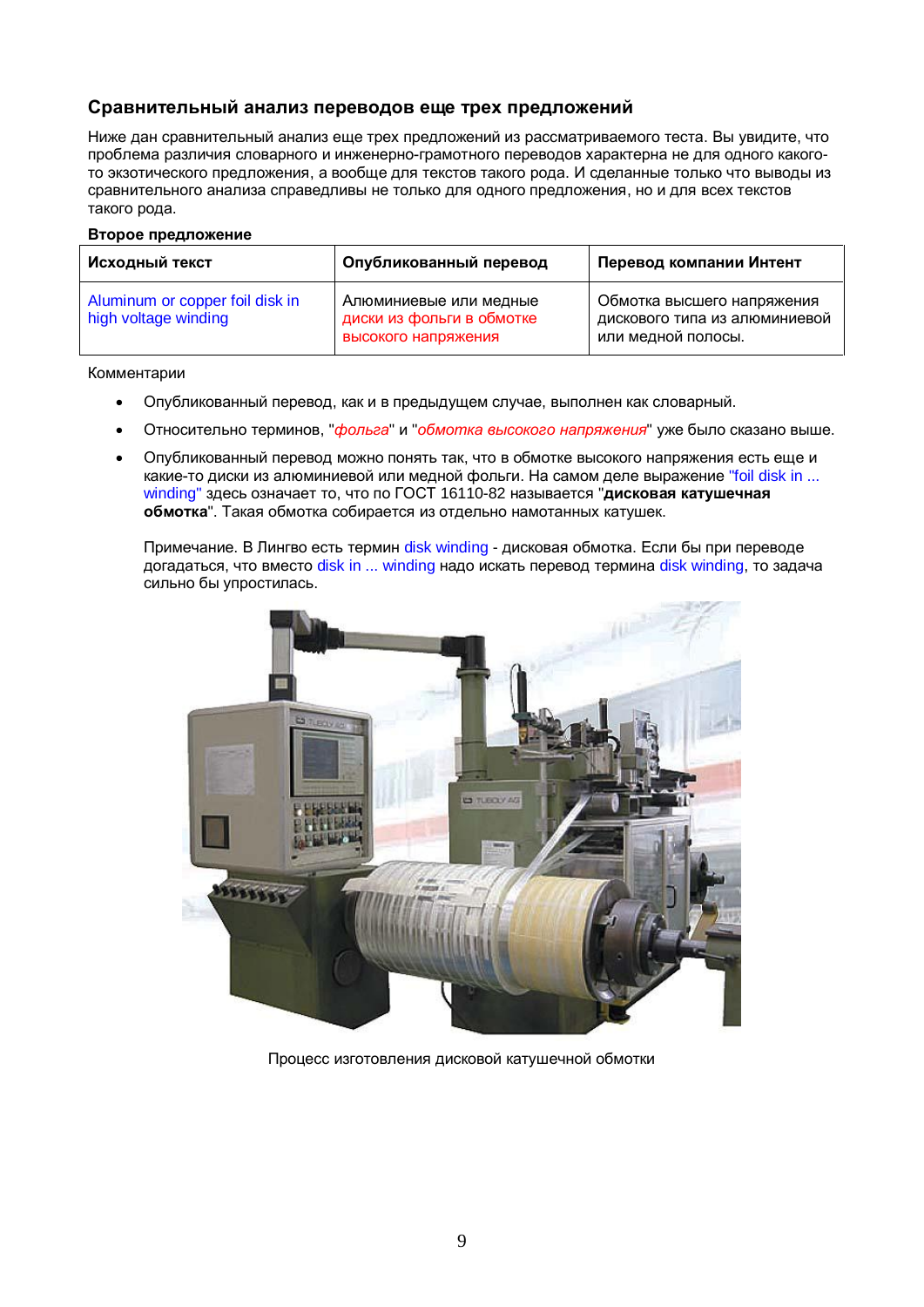# Сравнительный анализ переводов еще трех предложений

Ниже дан сравнительный анализ еще трех предложений из рассматриваемого теста. Вы увидите, что проблема различия словарного и инженерно-грамотного переводов характерна не для одного какогото экзотического предложения, а вообще для текстов такого рода. И сделанные только что выводы из сравнительного анализа справедливы не только для одного предложения, но и для всех текстов такого рода.

#### **Второе предложение**

| Исходный текст                                          | Опубликованный перевод                                                     | Перевод компании Интент                                                           |
|---------------------------------------------------------|----------------------------------------------------------------------------|-----------------------------------------------------------------------------------|
| Aluminum or copper foil disk in<br>high voltage winding | Алюминиевые или медные<br>диски из фольги в обмотке<br>высокого напряжения | Обмотка высшего напряжения<br>дискового типа из алюминиевой<br>или медной полосы. |

Комментарии

- Опубликованный перевод, как и в предыдущем случае, выполнен как словарный.
- Относительно терминов, "*фольга*" и "*обмотка высокого напряжения*" уже было сказано выше.
- Опубликованный перевод можно понять так, что в обмотке высокого напряжения есть еще и какие-то диски из алюминиевой или медной фольги. На самом деле выражение "foil disk in ... winding" здесь означает то, что по ГОСТ 16110-82 называется "дисковая катушечная **обмотка**". Такая обмотка собирается из отдельно намотанных катушек.

Примечание. В Лингво есть термин disk winding - дисковая обмотка. Если бы при переводе догадаться, что вместо disk in ... winding надо искать перевод термина disk winding, то задача сильно бы упростилась.



Процесс изготовления дисковой катушечной обмотки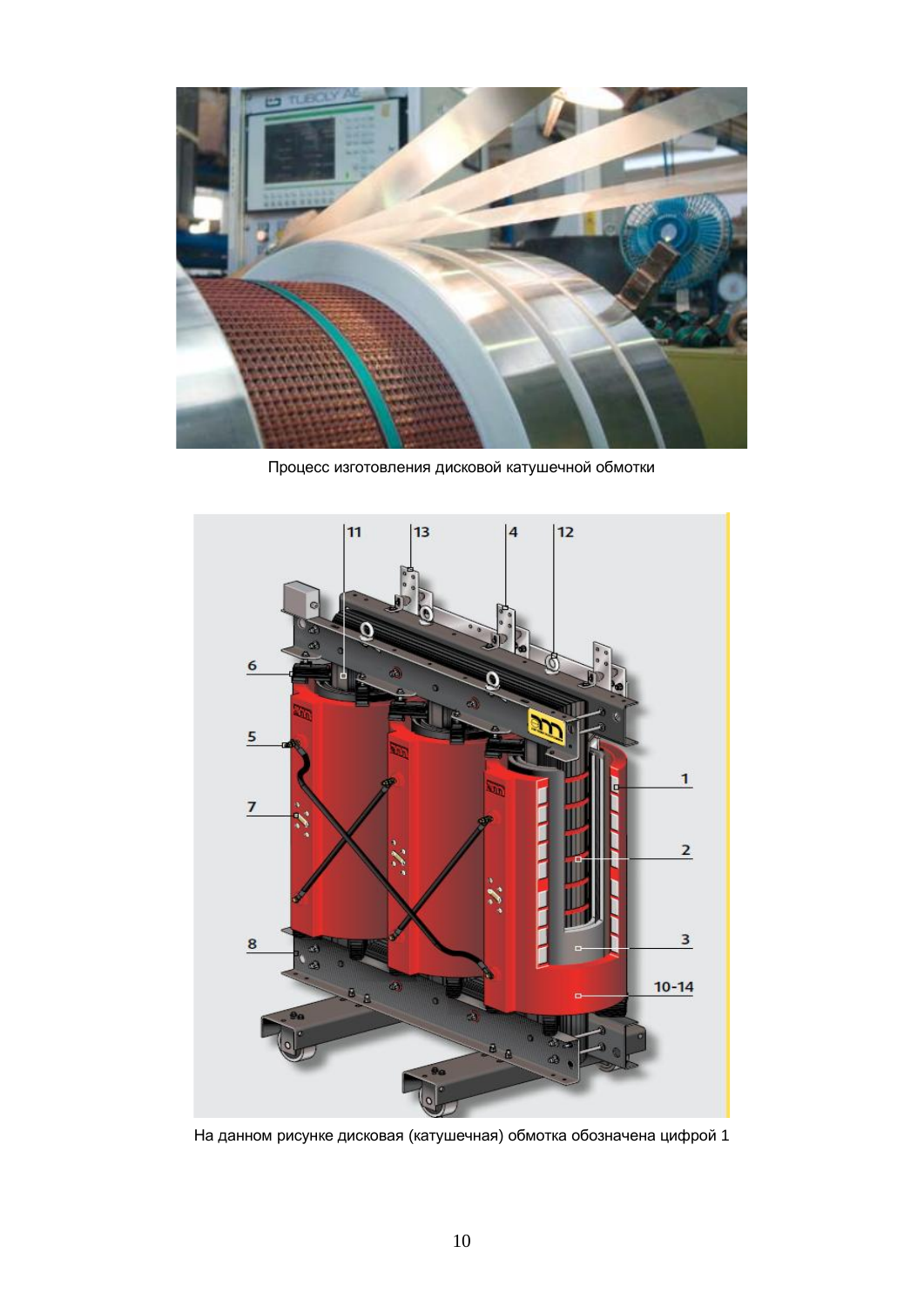

Процесс изготовления дисковой катушечной обмотки



На данном рисунке дисковая (катушечная) обмотка обозначена цифрой 1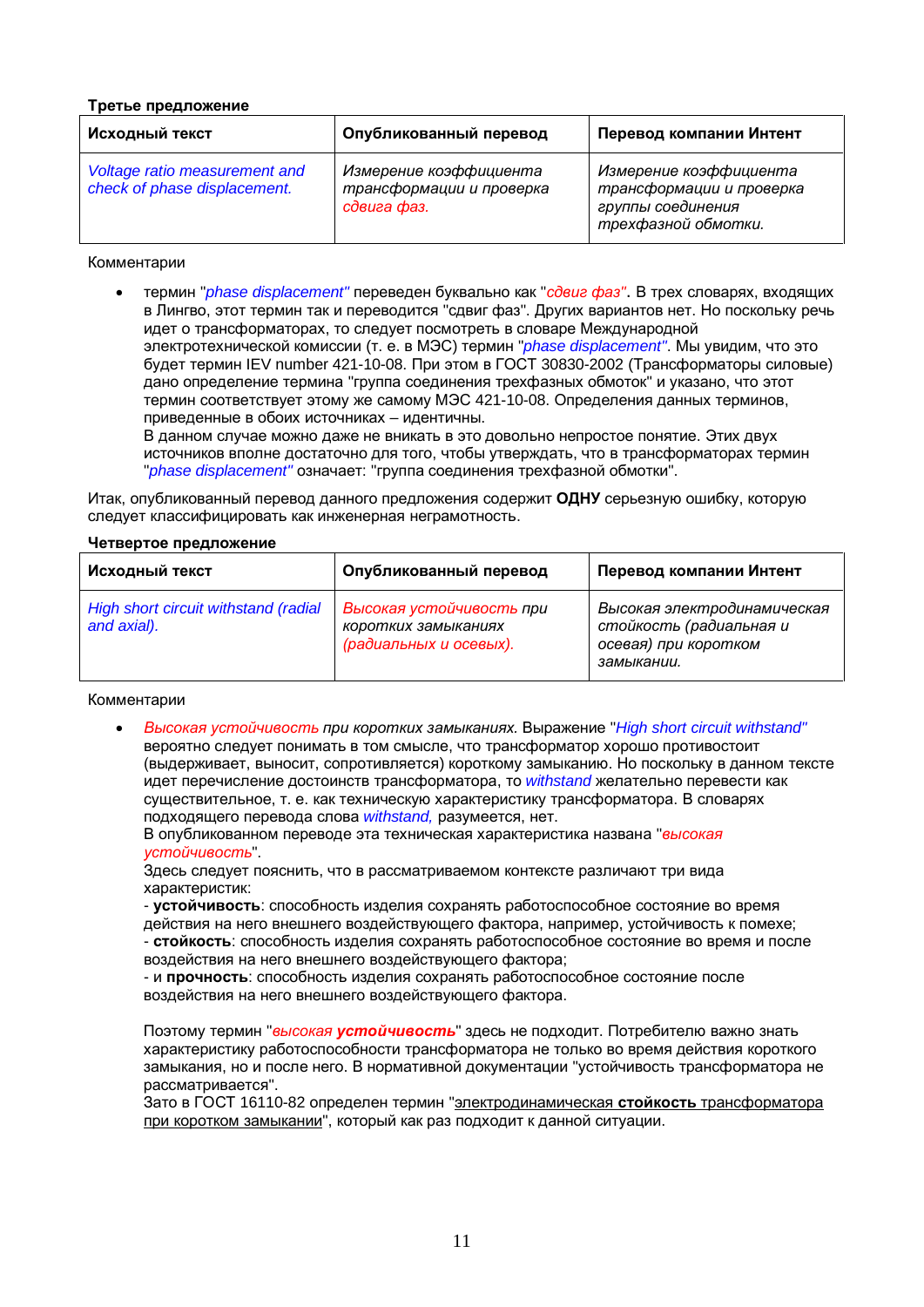#### **Третье предложение**

| Исходный текст                                                | Опубликованный перевод                                            | Перевод компании Интент                                                                        |
|---------------------------------------------------------------|-------------------------------------------------------------------|------------------------------------------------------------------------------------------------|
| Voltage ratio measurement and<br>check of phase displacement. | Измерение коэффициента<br>трансформации и проверка<br>сдвига фаз. | Измерение коэффициента<br>трансформации и проверка<br>группы соединения<br>трехфазной обмотки. |

#### Комментарии

термин "*phase displacement"* переведен бүквально как "*сдвиг фаз*". В трех словарях, входящих в Лингво, этот термин так и переводится "сдвиг фаз". Других вариантов нет. Но поскольку речь идет о трансформаторах, то следует посмотреть в словаре Международной электротехнической комиссии (т. е. в МЭС) термин "*phase displacement"*. Мы увидим, что это будет термин IEV number 421-10-08. При этом в ГОСТ 30830-2002 (Трансформаторы силовые) дано определение термина "группа соединения трехфазных обмоток" и указано, что этот термин соответствует этому же самому МЭС 421-10-08. Определения данных терминов, приведенные в обоих источниках – идентичны.

В данном случае можно даже не вникать в это довольно непростое понятие. Этих двух источников вполне достаточно для того, чтобы утверждать, что в трансформаторах термин "*phase displacement*" означает: "группа соединения трехфазной обмотки".

Итак, опубликованный перевод данного предложения содержит ОДНУ серьезную ошибку, которую следует классифицировать как инженерная неграмотность.

#### **Четвертое предложение**

| Исходный текст                                      | Опубликованный перевод                                                    | Перевод компании Интент                                                                      |
|-----------------------------------------------------|---------------------------------------------------------------------------|----------------------------------------------------------------------------------------------|
| High short circuit withstand (radial<br>and axial). | Высокая устойчивость при<br>коротких замыканиях<br>(радиальных и осевых). | Высокая электродинамическая<br>стойкость (радиальная и<br>осевая) при коротком<br>замыкании. |

#### Комментарии

Bысокая устойчивость при коротких замыканиях. Выражение "High short circuit withstand" вероятно следует понимать в том смысле, что трансформатор хорошо противостоит (выдерживает, выносит, сопротивляется) короткому замыканию. Но поскольку в данном тексте идет перечисление достоинств трансформатора, то withstand желательно перевести как существительное, т. е. как техническую характеристику трансформатора. В словарях подходящего перевода слова withstand, разумеется, нет.

В опубликованном переводе эта техническая характеристика названа "высокая **устойчивость"**.

Здесь следует пояснить, что в рассматриваемом контексте различают три вида характеристик:

- устойчивость: способность изделия сохранять работоспособное состояние во время действия на него внешнего воздействующего фактора, например, устойчивость к помехе; - стойкость: способность изделия сохранять работоспособное состояние во время и после воздействия на него внешнего воздействующего фактора;

- и **прочность**: способность изделия сохранять работоспособное состояние после воздействия на него внешнего воздействующего фактора.

Поэтому термин "высокая **устойчивость**" здесь не подходит. Потребителю важно знать характеристику работоспособности трансформатора не только во время действия короткого замыкания, но и после него. В нормативной документации "устойчивость трансформатора не рассматривается".

Зато в ГОСТ 16110-82 определен термин "электродинамическая стойкость трансформатора при коротком замыкании", который как раз подходит к данной ситуации.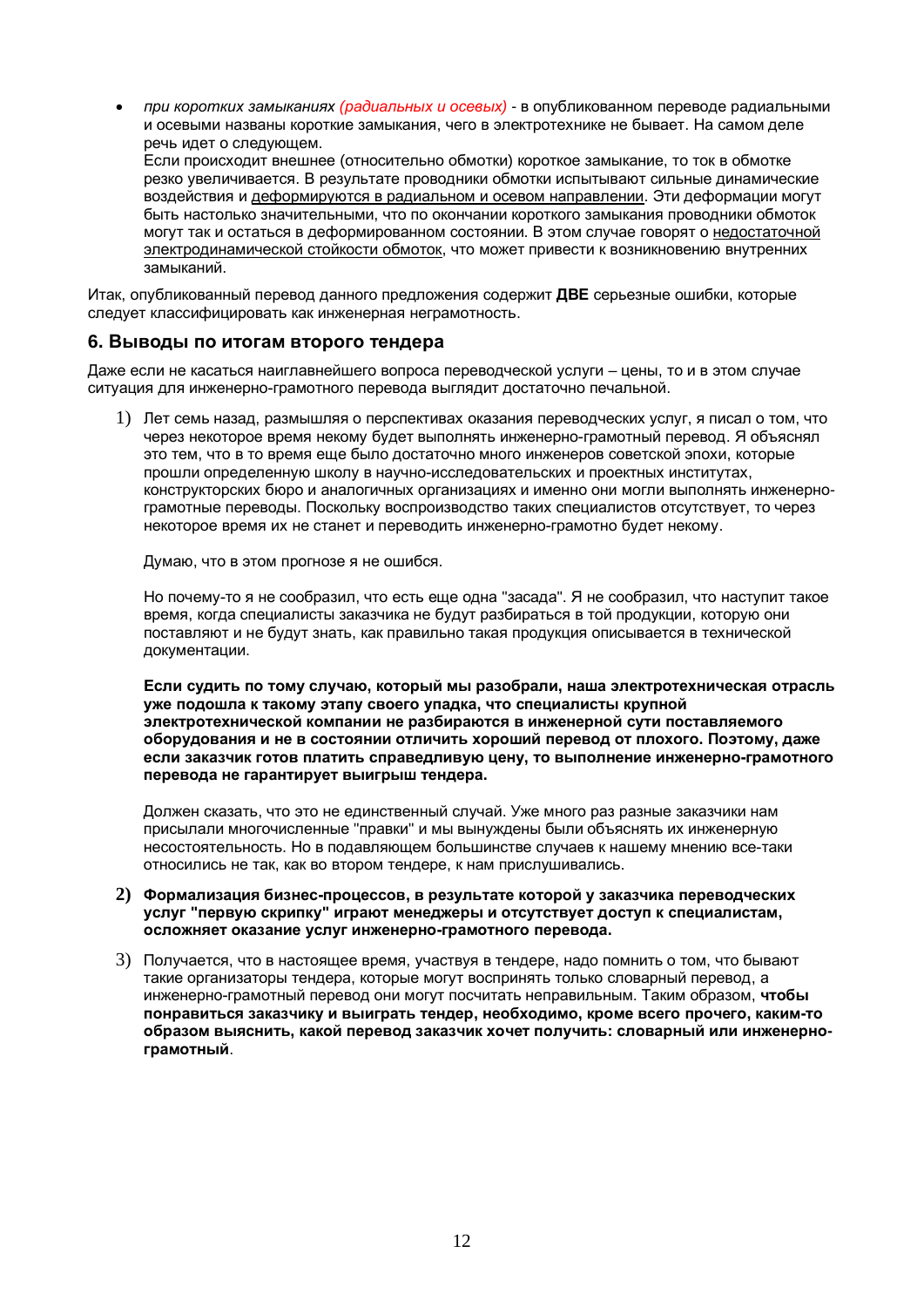*при коротких замыканиях (радиальных и осевых)* - в опубликованном переводе радиальными и осевыми названы короткие замыкания, чего в электротехнике не бывает. На самом деле речь идет о следующем.

Если происходит внешнее (относительно обмотки) короткое замыкание, то ток в обмотке резко увеличивается. В результате проводники обмотки испытывают сильные динамические воздействия и деформируются в радиальном и осевом направлении. Эти деформации могут быть настолько значительными, что по окончании короткого замыкания проводники обмоток могут так и остаться в деформированном состоянии. В этом случае говорят о недостаточной электродинамической стойкости обмоток, что может привести к возникновению внутренних замыканий.

Итак, опубликованный перевод данного предложения содержит ДВЕ серьезные ошибки, которые следует классифицировать как инженерная неграмотность.

# $6.$  Выводы по итогам второго тендера

Лаже если не касаться наиглавнейшего вопроса переводческой услуги – цены, то и в этом случае ситуация для инженерно-грамотного перевода выглядит достаточно печальной.

1) Пет семь назал, размышляя о перспективах оказания переволческих услуг, я писал о том, что через некоторое время некому будет выполнять инженерно-грамотный перевод. Я объяснял это тем, что в то время еще было достаточно много инженеров советской эпохи, которые прошли определенную школу в научно-исследовательских и проектных институтах, конструкторских бюро и аналогичных организациях и именно они могли выполнять инженернограмотные переводы. Поскольку воспроизводство таких специалистов отсутствует, то через некоторое время их не станет и переводить инженерно-грамотно будет некому.

Думаю, что в этом прогнозе я не ошибся.

Но почему-то я не сообразил, что есть еще одна "засада". Я не сообразил, что наступит такое время, когда специалисты заказчика не будут разбираться в той продукции, которую они поставляют и не будут знать, как правильно такая продукция описывается в технической документации.

Если судить по тому случаю, который мы разобрали, наша электротехническая отрасль уже подошла к такому этапу своего упадка, что специалисты крупной электротехнической компании не разбираются в инженерной сути поставляемого **• борудования и не в состоянии отличить хороший перевод от плохого. Поэтому, даже** если заказчик готов платить справедливую цену, то выполнение инженерно-грамотного Перевода не гарантирует выигрыш тендера.

Должен сказать, что это не единственный случай. Уже много раз разные заказчики нам присылали многочисленные "правки" и мы вынуждены были объяснять их инженерную несостоятельность. Но в подавляющем большинстве случаев к нашему мнению все-таки относились не так, как во втором тендере, к нам прислушивались.

- 2) Формализация бизнес-процессов, в результате которой у заказчика переводческих VCЛVГ "ПЕОВУЮ СКОИПКУ" ИГОАЮТ МЕНЕДЖЕОЫ И ОТСУТСТВУЕТ ДОСТУП К СПЕЦИАЛИСТАМ. **• осложняет оказание услуг инженерно-грамотного перевода.**
- 3) Получается, что в настоящее время, участвуя в тендере, надо помнить о том, что бывают такие организаторы тендера, которые могут воспринять только словарный перевод, а инженерно-грамотный перевод они могут посчитать неправильным. Таким образом, чтобы ПОНРАВИТЬСЯ ЗАКАЗЧИКУ И ВЫИГРАТЬ ТЕНДЕР, НЕОбХОДИМО, КРОМЕ ВСЕГО ПРОЧЕГО, КАКИМ-ТО **• бразом выяснить, какой перевод заказчик хочет получить: словарный или инженерно**грамотный.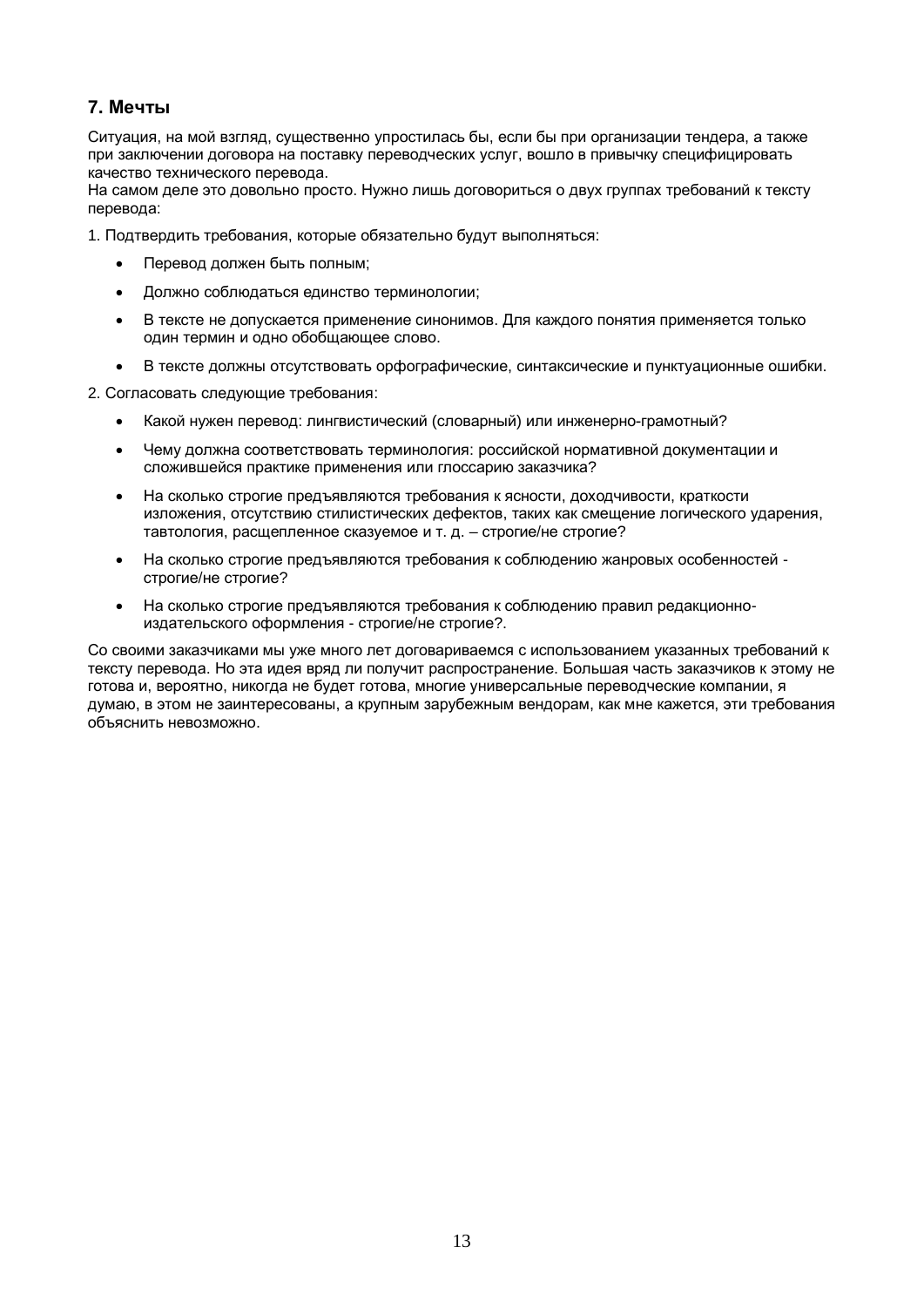# **7. Мечты**

Ситуация, на мой взгляд, существенно упростилась бы, если бы при организации тендера, а также при заключении договора на поставку переводческих услуг, вошло в привычку специфицировать качество технического перевода.

На самом деле это довольно просто. Нужно лишь договориться о двух группах требований к тексту перевода:

1. Подтвердить требования, которые обязательно будут выполняться:

- Перевод должен быть полным;
- Должно соблюдаться единство терминологии:
- В тексте не допускается применение синонимов. Для каждого понятия применяется только один термин и одно обобщающее слово.
- В тексте должны отсутствовать орфографические, синтаксические и пунктуационные ошибки.

2. Согласовать следующие требования:

- Какой нужен перевод: лингвистический (словарный) или инженерно-грамотный?
- Чему должна соответствовать терминология: российской нормативной документации и сложившейся практике применения или глоссарию заказчика?
- На сколько строгие предъявляются требования к ясности, доходчивости, краткости изложения, отсутствию стилистических дефектов, таких как смещение логического ударения, тавтология, расшепленное сказуемое и т. д. – строгие/не строгие?
- На сколько строгие предъявляются требования к соблюдению жанровых особенностей строгие/не строгие?
- На сколько строгие предъявляются требования к соблюдению правил редакционноизлательского оформления - строгие/не строгие?.

Со своими заказчиками мы уже много лет договариваемся с использованием указанных требований к тексту перевода. Но эта идея вряд ли получит распространение. Большая часть заказчиков к этому не готова и, вероятно, никогда не будет готова, многие универсальные переводческие компании, я думаю, в этом не заинтересованы, а крупным зарубежным вендорам, как мне кажется, эти требования объяснить невозможно.